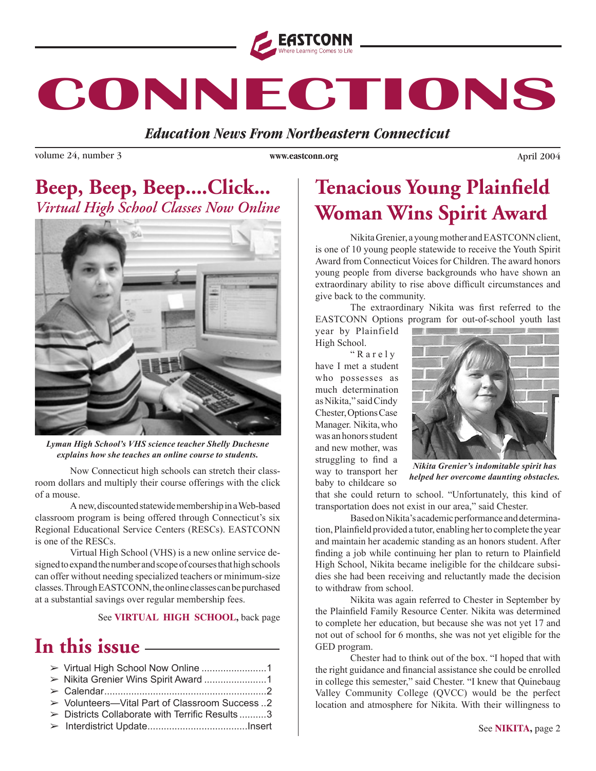

# **CONNECTIONS**

*Education News From Northeastern Connecticut* 

volume 24, number 3 by the set of the set of the www.eastconn.org columns are a set of the set of the set of the set of the set of the set of the set of the set of the set of the set of the set of the set of the set of the

**WWWEASTCONNORG**

### Beep, Beep, Beep....Click... *Virtual High School Classes Now Online*



*Lyman High School's VHS science teacher Shelly Duchesne explains how she teaches an online course to students.*

Now Connecticut high schools can stretch their classroom dollars and multiply their course offerings with the click of a mouse.

A new, discounted statewide membership in a Web-based classroom program is being offered through Connecticut's six Regional Educational Service Centers (RESCs). EASTCONN is one of the RESCs.

Virtual High School (VHS) is a new online service designed to expand the number and scope of courses that high schools can offer without needing specialized teachers or minimum-size classes. Through EASTCONN, the online classes can be purchased at a substantial savings over regular membership fees.

See **VIRTUAL HIGH SCHOOL,** back page

### In this issue **in the United States**

| ► Volunteers-Vital Part of Classroom Success 2 |  |
|------------------------------------------------|--|
| > Districts Collaborate with Terrific Results3 |  |
|                                                |  |
|                                                |  |

### **Tenacious Young Plainfield Woman Wins Spirit Award**

Nikita Grenier, a young mother and EASTCONN client, is one of 10 young people statewide to receive the Youth Spirit Award from Connecticut Voices for Children. The award honors young people from diverse backgrounds who have shown an extraordinary ability to rise above difficult circumstances and give back to the community.

The extraordinary Nikita was frst referred to the EASTCONN Options program for out-of-school youth last

year by Plainfield High School.

" R a r e l y have I met a student who possesses as much determination as Nikita," said Cindy Chester, Options Case Manager. Nikita, who was an honors student and new mother, was struggling to fnd a way to transport her baby to childcare so



*Nikita Grenier's indomitable spirit has helped her overcome daunting obstacles.*

that she could return to school. "Unfortunately, this kind of transportation does not exist in our area," said Chester.

Based on Nikita's academic performance and determination, Plainfeld provided a tutor, enabling her to complete the year and maintain her academic standing as an honors student. After fnding a job while continuing her plan to return to Plainfeld High School, Nikita became ineligible for the childcare subsidies she had been receiving and reluctantly made the decision to withdraw from school.

Nikita was again referred to Chester in September by the Plainfeld Family Resource Center. Nikita was determined to complete her education, but because she was not yet 17 and not out of school for 6 months, she was not yet eligible for the GED program.

Chester had to think out of the box. "I hoped that with the right guidance and fnancial assistance she could be enrolled in college this semester," said Chester. "I knew that Quinebaug Valley Community College (QVCC) would be the perfect location and atmosphere for Nikita. With their willingness to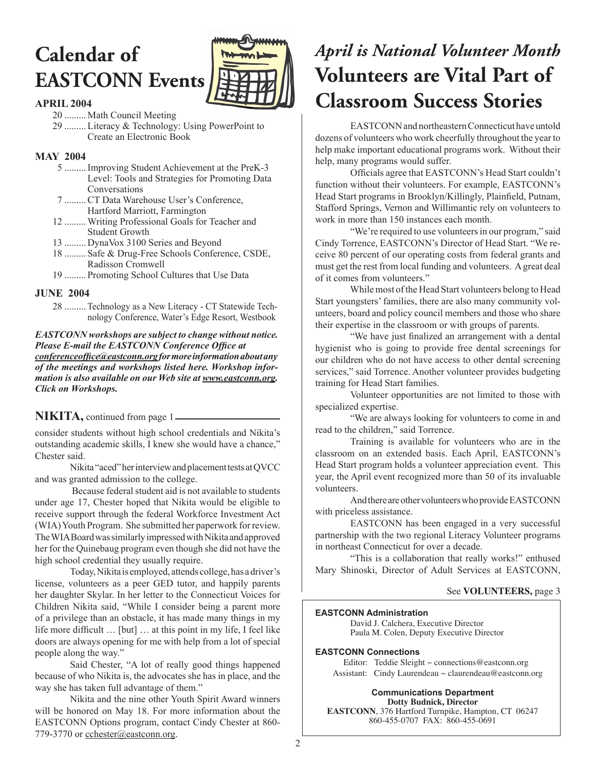## **Calendar of EASTCONN Events**



#### **APRIL 2004**

 20 ......... Math Council Meeting 29 .........Literacy & Technology: Using PowerPoint to Create an Electronic Book

#### **MAY 2004**

- 5 .........Improving Student Achievement at the PreK-3 Level: Tools and Strategies for Promoting Data Conversations
- 7 .........CT Data Warehouse User's Conference, Hartford Marriott, Farmington
- 12 .........Writing Professional Goals for Teacher and Student Growth
- 13 ......... DynaVox 3100 Series and Beyond
- 18 ......... Safe & Drug-Free Schools Conference, CSDE, Radisson Cromwell
- 19 ......... Promoting School Cultures that Use Data

#### **JUNE 2004**

28 ......... Technology as a New Literacy - CT Statewide Technology Conference, Water's Edge Resort, Westbook

*EASTCONN workshops are subject to change without notice.*  **Please E-mail the EASTCONN Conference Office at** *conferenceoffce@eastconn.org for more information about any of the meetings and workshops listed here. Workshop information is also available on our Web site at www.eastconn.org. Click on Workshops.*

#### **NIKITA,** continued from page 1

consider students without high school credentials and Nikita's outstanding academic skills, I knew she would have a chance," Chester said.

Nikita "aced" her interview and placement tests at QVCC and was granted admission to the college.

 Because federal student aid is not available to students under age 17, Chester hoped that Nikita would be eligible to receive support through the federal Workforce Investment Act (WIA) Youth Program. She submitted her paperwork for review. The WIA Board was similarly impressed with Nikita and approved her for the Quinebaug program even though she did not have the high school credential they usually require.

Today, Nikita is employed, attends college, has a driver's license, volunteers as a peer GED tutor, and happily parents her daughter Skylar. In her letter to the Connecticut Voices for Children Nikita said, "While I consider being a parent more of a privilege than an obstacle, it has made many things in my life more diffcult … [but] … at this point in my life, I feel like doors are always opening for me with help from a lot of special people along the way."

Said Chester, "A lot of really good things happened because of who Nikita is, the advocates she has in place, and the way she has taken full advantage of them."

Nikita and the nine other Youth Spirit Award winners will be honored on May 18. For more information about the EASTCONN Options program, contact Cindy Chester at 860- 779-3770 or cchester@eastconn.org.

### **April is National Volunteer Month Volunteers are Vital Part of Elassroom Success Stories**

EASTCONN and northeastern Connecticut have untold dozens of volunteers who work cheerfully throughout the year to help make important educational programs work. Without their help, many programs would suffer.

Officials agree that EASTCONN's Head Start couldn't function without their volunteers. For example, EASTCONN's Head Start programs in Brooklyn/Killingly, Plainfeld, Putnam, Stafford Springs, Vernon and Willimantic rely on volunteers to work in more than 150 instances each month.

"We're required to use volunteers in our program," said Cindy Torrence, EASTCONN's Director of Head Start. "We receive 80 percent of our operating costs from federal grants and must get the rest from local funding and volunteers. A great deal of it comes from volunteers."

While most of the Head Start volunteers belong to Head Start youngsters' families, there are also many community volunteers, board and policy council members and those who share their expertise in the classroom or with groups of parents.

"We have just fnalized an arrangement with a dental hygienist who is going to provide free dental screenings for our children who do not have access to other dental screening services," said Torrence. Another volunteer provides budgeting training for Head Start families.

Volunteer opportunities are not limited to those with specialized expertise.

"We are always looking for volunteers to come in and read to the children," said Torrence.

Training is available for volunteers who are in the classroom on an extended basis. Each April, EASTCONN's Head Start program holds a volunteer appreciation event. This year, the April event recognized more than 50 of its invaluable volunteers.

And there are other volunteers who provide EASTCONN with priceless assistance.

EASTCONN has been engaged in a very successful partnership with the two regional Literacy Volunteer programs in northeast Connecticut for over a decade.

"This is a collaboration that really works!" enthused Mary Shinoski, Director of Adult Services at EASTCONN,

#### See **VOLUNTEERS,** page 3

#### **EASTCONN Administration**

David J. Calchera, Executive Director Paula M. Colen, Deputy Executive Director

#### **EASTCONN Connections**

Editor: Teddie Sleight  $\sim$  connections@eastconn.org Assistant: Cindy Laurendeau ~ claurendeau@eastconn.org

**Communications Department Dotty Budnick, Director EASTCONN**, 376 Hartford Turnpike, Hampton, CT 06247 860-455-0707 FAX: 860-455-0691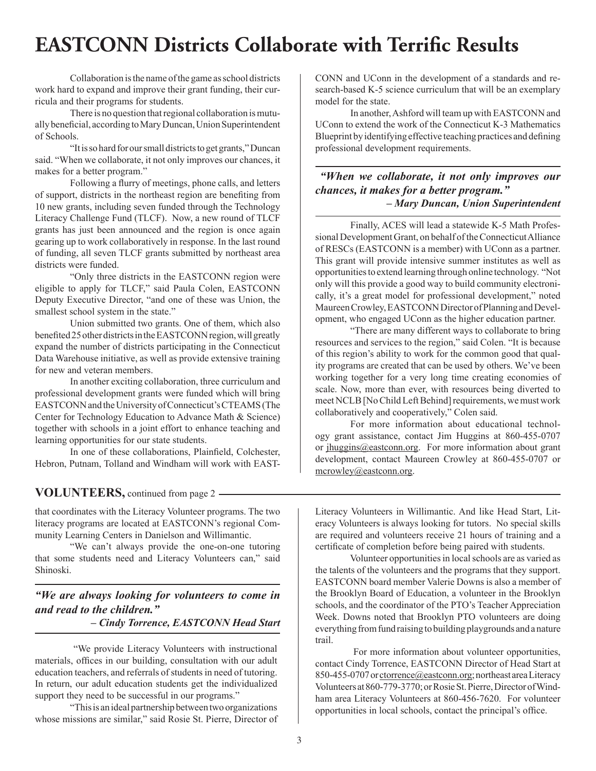### **EASTCONN Districts Collaborate with Terrific Results**

Collaboration is the name of the game as school districts work hard to expand and improve their grant funding, their curricula and their programs for students.

There is no question that regional collaboration is mutually benefcial, according to Mary Duncan, Union Superintendent of Schools.

"It is so hard for our small districts to get grants," Duncan said. "When we collaborate, it not only improves our chances, it makes for a better program."

Following a furry of meetings, phone calls, and letters of support, districts in the northeast region are benefting from 10 new grants, including seven funded through the Technology Literacy Challenge Fund (TLCF). Now, a new round of TLCF grants has just been announced and the region is once again gearing up to work collaboratively in response. In the last round of funding, all seven TLCF grants submitted by northeast area districts were funded.

"Only three districts in the EASTCONN region were eligible to apply for TLCF," said Paula Colen, EASTCONN Deputy Executive Director, "and one of these was Union, the smallest school system in the state."

Union submitted two grants. One of them, which also benefted 25 other districts in the EASTCONN region, will greatly expand the number of districts participating in the Connecticut Data Warehouse initiative, as well as provide extensive training for new and veteran members.

In another exciting collaboration, three curriculum and professional development grants were funded which will bring EASTCONN and the University of Connecticut's CTEAMS (The Center for Technology Education to Advance Math & Science) together with schools in a joint effort to enhance teaching and learning opportunities for our state students.

In one of these collaborations, Plainfeld, Colchester, Hebron, Putnam, Tolland and Windham will work with EAST-

**VOLUNTEERS,** continued from page 2

that coordinates with the Literacy Volunteer programs. The two literacy programs are located at EASTCONN's regional Community Learning Centers in Danielson and Willimantic.

"We can't always provide the one-on-one tutoring that some students need and Literacy Volunteers can," said Shinoski.

*"We are always looking for volunteers to come in and read to the children."*

*– Cindy Torrence, EASTCONN Head Start* 

 "We provide Literacy Volunteers with instructional materials, offices in our building, consultation with our adult education teachers, and referrals of students in need of tutoring. In return, our adult education students get the individualized support they need to be successful in our programs."

"This is an ideal partnership between two organizations whose missions are similar," said Rosie St. Pierre, Director of CONN and UConn in the development of a standards and research-based K-5 science curriculum that will be an exemplary model for the state.

In another, Ashford will team up with EASTCONN and UConn to extend the work of the Connecticut K-3 Mathematics Blueprint by identifying effective teaching practices and defning professional development requirements.

 *"When we collaborate, it not only improves our chances, it makes for a better program." – Mary Duncan, Union Superintendent*

Finally, ACES will lead a statewide K-5 Math Professional Development Grant, on behalf of the Connecticut Alliance of RESCs (EASTCONN is a member) with UConn as a partner. This grant will provide intensive summer institutes as well as opportunities to extend learning through online technology. "Not only will this provide a good way to build community electronically, it's a great model for professional development," noted Maureen Crowley, EASTCONN Director of Planning and Development, who engaged UConn as the higher education partner.

"There are many different ways to collaborate to bring resources and services to the region," said Colen. "It is because of this region's ability to work for the common good that quality programs are created that can be used by others. We've been working together for a very long time creating economies of scale. Now, more than ever, with resources being diverted to meet NCLB [No Child Left Behind] requirements, we must work collaboratively and cooperatively," Colen said.

For more information about educational technology grant assistance, contact Jim Huggins at 860-455-0707 or [jhuggins@eastconn.org.](mailto:jhuggins@eastconn.org) For more information about grant development, contact Maureen Crowley at 860-455-0707 or [mcrowley@eastconn.org.](mailto:mcrowley@eastconn.org)

Literacy Volunteers in Willimantic. And like Head Start, Literacy Volunteers is always looking for tutors. No special skills are required and volunteers receive 21 hours of training and a certifcate of completion before being paired with students.

Volunteer opportunities in local schools are as varied as the talents of the volunteers and the programs that they support. EASTCONN board member Valerie Downs is also a member of the Brooklyn Board of Education, a volunteer in the Brooklyn schools, and the coordinator of the PTO's Teacher Appreciation Week. Downs noted that Brooklyn PTO volunteers are doing everything from fund raising to building playgrounds and a nature trail.

 For more information about volunteer opportunities, contact Cindy Torrence, EASTCONN Director of Head Start at 850-455-0707 or ctorrence@eastconn.org; northeast area Literacy Volunteers at 860-779-3770; or Rosie St. Pierre, Director of Windham area Literacy Volunteers at 860-456-7620. For volunteer opportunities in local schools, contact the principal's office.